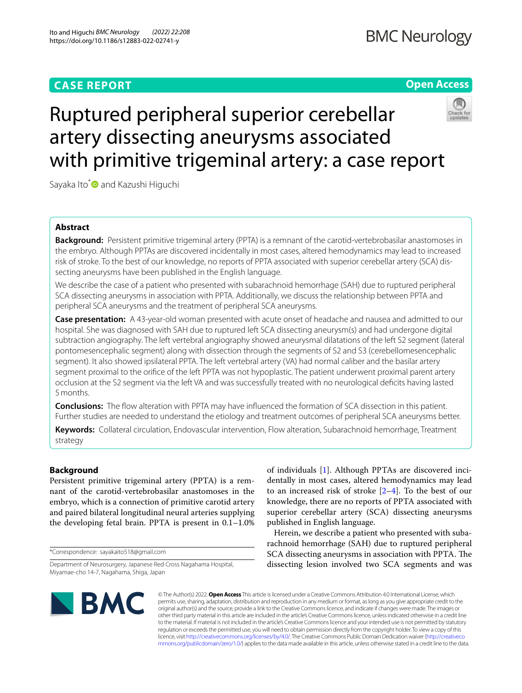## **CASE REPORT**

## **BMC Neurology**

## **Open Access**



# Ruptured peripheral superior cerebellar artery dissecting aneurysms associated with primitive trigeminal artery: a case report

Sayaka Ito\*<sup>O</sup> and Kazushi Higuchi

## **Abstract**

**Background:** Persistent primitive trigeminal artery (PPTA) is a remnant of the carotid-vertebrobasilar anastomoses in the embryo. Although PPTAs are discovered incidentally in most cases, altered hemodynamics may lead to increased risk of stroke. To the best of our knowledge, no reports of PPTA associated with superior cerebellar artery (SCA) dissecting aneurysms have been published in the English language.

We describe the case of a patient who presented with subarachnoid hemorrhage (SAH) due to ruptured peripheral SCA dissecting aneurysms in association with PPTA. Additionally, we discuss the relationship between PPTA and peripheral SCA aneurysms and the treatment of peripheral SCA aneurysms.

**Case presentation:** A 43-year-old woman presented with acute onset of headache and nausea and admitted to our hospital. She was diagnosed with SAH due to ruptured left SCA dissecting aneurysm(s) and had undergone digital subtraction angiography. The left vertebral angiography showed aneurysmal dilatations of the left S2 segment (lateral pontomesencephalic segment) along with dissection through the segments of S2 and S3 (cerebellomesencephalic segment). It also showed ipsilateral PPTA. The left vertebral artery (VA) had normal caliber and the basilar artery segment proximal to the orifce of the left PPTA was not hypoplastic. The patient underwent proximal parent artery occlusion at the S2 segment via the left VA and was successfully treated with no neurological defcits having lasted 5months.

**Conclusions:** The fow alteration with PPTA may have infuenced the formation of SCA dissection in this patient. Further studies are needed to understand the etiology and treatment outcomes of peripheral SCA aneurysms better.

**Keywords:** Collateral circulation, Endovascular intervention, Flow alteration, Subarachnoid hemorrhage, Treatment strategy

## **Background**

Persistent primitive trigeminal artery (PPTA) is a remnant of the carotid-vertebrobasilar anastomoses in the embryo, which is a connection of primitive carotid artery and paired bilateral longitudinal neural arteries supplying the developing fetal brain. PPTA is present in 0.1–1.0%

\*Correspondence: sayakaito518@gmail.com

of individuals [\[1\]](#page-4-0). Although PPTAs are discovered incidentally in most cases, altered hemodynamics may lead to an increased risk of stroke  $[2-4]$  $[2-4]$ . To the best of our knowledge, there are no reports of PPTA associated with superior cerebellar artery (SCA) dissecting aneurysms published in English language.

Herein, we describe a patient who presented with subarachnoid hemorrhage (SAH) due to ruptured peripheral SCA dissecting aneurysms in association with PPTA. The dissecting lesion involved two SCA segments and was



© The Author(s) 2022. **Open Access** This article is licensed under a Creative Commons Attribution 4.0 International License, which permits use, sharing, adaptation, distribution and reproduction in any medium or format, as long as you give appropriate credit to the original author(s) and the source, provide a link to the Creative Commons licence, and indicate if changes were made. The images or other third party material in this article are included in the article's Creative Commons licence, unless indicated otherwise in a credit line to the material. If material is not included in the article's Creative Commons licence and your intended use is not permitted by statutory regulation or exceeds the permitted use, you will need to obtain permission directly from the copyright holder. To view a copy of this licence, visit [http://creativecommons.org/licenses/by/4.0/.](http://creativecommons.org/licenses/by/4.0/) The Creative Commons Public Domain Dedication waiver ([http://creativeco](http://creativecommons.org/publicdomain/zero/1.0/) [mmons.org/publicdomain/zero/1.0/](http://creativecommons.org/publicdomain/zero/1.0/)) applies to the data made available in this article, unless otherwise stated in a credit line to the data.

Department of Neurosurgery, Japanese Red Cross Nagahama Hospital, Miyamae-cho 14-7, Nagahama, Shiga, Japan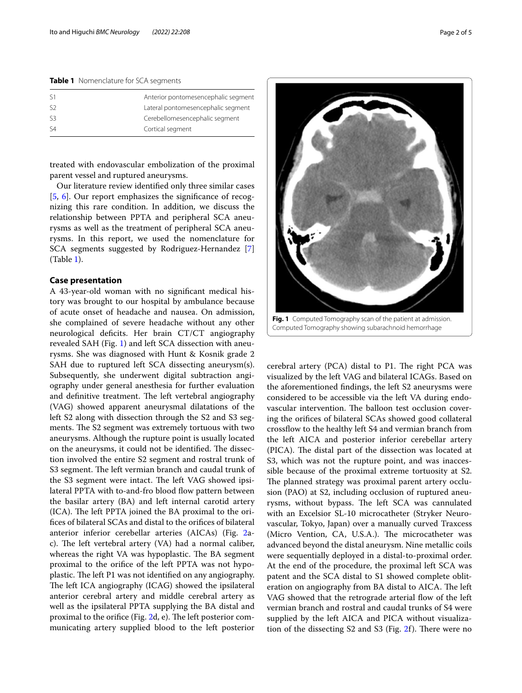<span id="page-1-0"></span>**Table 1** Nomenclature for SCA segments

| $\varsigma_1$ | Anterior pontomesencephalic segment |
|---------------|-------------------------------------|
| S2            | Lateral pontomesencephalic segment  |
| 53            | Cerebellomesencephalic segment      |
| $\varsigma_4$ | Cortical segment                    |
|               |                                     |

treated with endovascular embolization of the proximal parent vessel and ruptured aneurysms.

Our literature review identifed only three similar cases [[5,](#page-4-3) [6](#page-4-4)]. Our report emphasizes the significance of recognizing this rare condition. In addition, we discuss the relationship between PPTA and peripheral SCA aneurysms as well as the treatment of peripheral SCA aneurysms. In this report, we used the nomenclature for SCA segments suggested by Rodriguez-Hernandez [\[7](#page-4-5)] (Table [1](#page-1-0)).

#### **Case presentation**

A 43-year-old woman with no signifcant medical history was brought to our hospital by ambulance because of acute onset of headache and nausea. On admission, she complained of severe headache without any other neurological deficits. Her brain CT/CT angiography revealed SAH (Fig. [1](#page-1-1)) and left SCA dissection with aneurysms. She was diagnosed with Hunt & Kosnik grade 2 SAH due to ruptured left SCA dissecting aneurysm(s). Subsequently, she underwent digital subtraction angiography under general anesthesia for further evaluation and definitive treatment. The left vertebral angiography (VAG) showed apparent aneurysmal dilatations of the left S2 along with dissection through the S2 and S3 segments. The S2 segment was extremely tortuous with two aneurysms. Although the rupture point is usually located on the aneurysms, it could not be identified. The dissection involved the entire S2 segment and rostral trunk of S3 segment. The left vermian branch and caudal trunk of the S3 segment were intact. The left VAG showed ipsilateral PPTA with to-and-fro blood flow pattern between the basilar artery (BA) and left internal carotid artery  $(ICA)$ . The left PPTA joined the BA proximal to the orifces of bilateral SCAs and distal to the orifces of bilateral anterior inferior cerebellar arteries (AICAs) (Fig. [2](#page-2-0)ac). The left vertebral artery (VA) had a normal caliber, whereas the right VA was hypoplastic. The BA segment proximal to the orifce of the left PPTA was not hypoplastic. The left P1 was not identified on any angiography. The left ICA angiography (ICAG) showed the ipsilateral anterior cerebral artery and middle cerebral artery as well as the ipsilateral PPTA supplying the BA distal and proximal to the orifice (Fig. [2d](#page-2-0), e). The left posterior communicating artery supplied blood to the left posterior



<span id="page-1-1"></span>cerebral artery (PCA) distal to P1. The right PCA was visualized by the left VAG and bilateral ICAGs. Based on the aforementioned fndings, the left S2 aneurysms were considered to be accessible via the left VA during endovascular intervention. The balloon test occlusion covering the orifces of bilateral SCAs showed good collateral crossfow to the healthy left S4 and vermian branch from the left AICA and posterior inferior cerebellar artery (PICA). The distal part of the dissection was located at S3, which was not the rupture point, and was inaccessible because of the proximal extreme tortuosity at S2. The planned strategy was proximal parent artery occlusion (PAO) at S2, including occlusion of ruptured aneurysms, without bypass. The left SCA was cannulated with an Excelsior SL-10 microcatheter (Stryker Neurovascular, Tokyo, Japan) over a manually curved Traxcess (Micro Vention, CA, U.S.A.). The microcatheter was advanced beyond the distal aneurysm. Nine metallic coils were sequentially deployed in a distal-to-proximal order. At the end of the procedure, the proximal left SCA was patent and the SCA distal to S1 showed complete obliteration on angiography from BA distal to AICA. The left VAG showed that the retrograde arterial flow of the left vermian branch and rostral and caudal trunks of S4 were supplied by the left AICA and PICA without visualization of the dissecting  $S2$  $S2$  and  $S3$  (Fig. 2f). There were no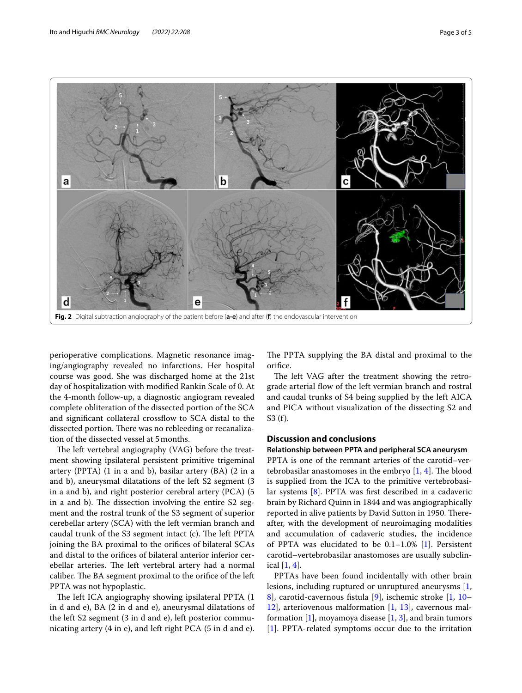

<span id="page-2-0"></span>perioperative complications. Magnetic resonance imaging/angiography revealed no infarctions. Her hospital course was good. She was discharged home at the 21st day of hospitalization with modifed Rankin Scale of 0. At the 4-month follow-up, a diagnostic angiogram revealed complete obliteration of the dissected portion of the SCA and signifcant collateral crossfow to SCA distal to the dissected portion. There was no rebleeding or recanalization of the dissected vessel at 5months.

The left vertebral angiography (VAG) before the treatment showing ipsilateral persistent primitive trigeminal artery (PPTA) (1 in a and b), basilar artery (BA) (2 in a and b), aneurysmal dilatations of the left S2 segment (3 in a and b), and right posterior cerebral artery (PCA) (5 in a and b). The dissection involving the entire  $S2$  segment and the rostral trunk of the S3 segment of superior cerebellar artery (SCA) with the left vermian branch and caudal trunk of the S3 segment intact (c). The left PPTA joining the BA proximal to the orifces of bilateral SCAs and distal to the orifces of bilateral anterior inferior cerebellar arteries. The left vertebral artery had a normal caliber. The BA segment proximal to the orifice of the left PPTA was not hypoplastic.

The left ICA angiography showing ipsilateral PPTA (1 in d and e), BA (2 in d and e), aneurysmal dilatations of the left S2 segment (3 in d and e), left posterior communicating artery (4 in e), and left right PCA (5 in d and e).

The PPTA supplying the BA distal and proximal to the orifce.

The left VAG after the treatment showing the retrograde arterial fow of the left vermian branch and rostral and caudal trunks of S4 being supplied by the left AICA and PICA without visualization of the dissecting S2 and S3 (f).

## **Discussion and conclusions**

#### **Relationship between PPTA and peripheral SCA aneurysm**

PPTA is one of the remnant arteries of the carotid–vertebrobasilar anastomoses in the embryo  $[1, 4]$  $[1, 4]$  $[1, 4]$  $[1, 4]$ . The blood is supplied from the ICA to the primitive vertebrobasilar systems [[8](#page-4-6)]. PPTA was frst described in a cadaveric brain by Richard Quinn in 1844 and was angiographically reported in alive patients by David Sutton in 1950. Thereafter, with the development of neuroimaging modalities and accumulation of cadaveric studies, the incidence of PPTA was elucidated to be 0.1–1.0% [[1\]](#page-4-0). Persistent carotid–vertebrobasilar anastomoses are usually subclinical [\[1](#page-4-0), [4\]](#page-4-2).

PPTAs have been found incidentally with other brain lesions, including ruptured or unruptured aneurysms [\[1](#page-4-0), [8\]](#page-4-6), carotid-cavernous fstula [\[9](#page-4-7)], ischemic stroke [\[1](#page-4-0), [10–](#page-4-8) [12\]](#page-4-9), arteriovenous malformation [[1,](#page-4-0) [13](#page-4-10)], cavernous mal-formation [\[1](#page-4-0)], moyamoya disease  $[1, 3]$  $[1, 3]$  $[1, 3]$  $[1, 3]$ , and brain tumors [[1\]](#page-4-0). PPTA-related symptoms occur due to the irritation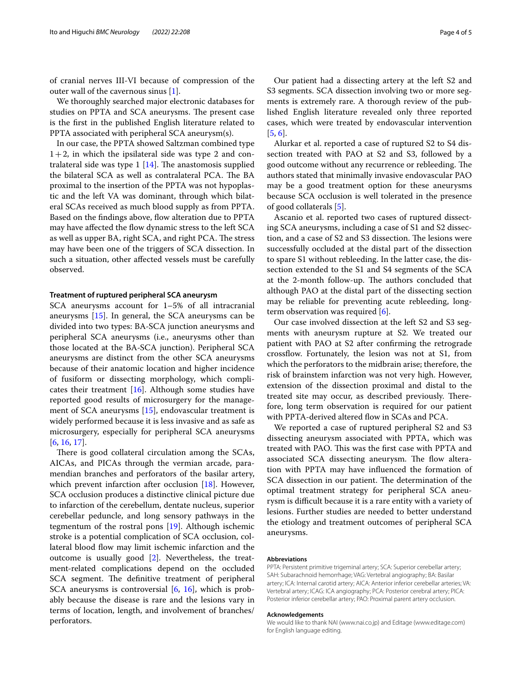of cranial nerves III-VI because of compression of the outer wall of the cavernous sinus [[1\]](#page-4-0).

We thoroughly searched major electronic databases for studies on PPTA and SCA aneurysms. The present case is the frst in the published English literature related to PPTA associated with peripheral SCA aneurysm(s).

In our case, the PPTA showed Saltzman combined type  $1+2$ , in which the ipsilateral side was type 2 and contralateral side was type  $1$  [[14\]](#page-4-12). The anastomosis supplied the bilateral SCA as well as contralateral PCA. The BA proximal to the insertion of the PPTA was not hypoplastic and the left VA was dominant, through which bilateral SCAs received as much blood supply as from PPTA. Based on the findings above, flow alteration due to PPTA may have affected the flow dynamic stress to the left SCA as well as upper BA, right SCA, and right PCA. The stress may have been one of the triggers of SCA dissection. In such a situation, other afected vessels must be carefully observed.

#### **Treatment of ruptured peripheral SCA aneurysm**

SCA aneurysms account for 1–5% of all intracranial aneurysms [[15\]](#page-4-13). In general, the SCA aneurysms can be divided into two types: BA-SCA junction aneurysms and peripheral SCA aneurysms (i.e., aneurysms other than those located at the BA-SCA junction). Peripheral SCA aneurysms are distinct from the other SCA aneurysms because of their anatomic location and higher incidence of fusiform or dissecting morphology, which complicates their treatment  $[16]$  $[16]$ . Although some studies have reported good results of microsurgery for the management of SCA aneurysms [[15\]](#page-4-13), endovascular treatment is widely performed because it is less invasive and as safe as microsurgery, especially for peripheral SCA aneurysms [[6,](#page-4-4) [16](#page-4-14), [17\]](#page-4-15).

There is good collateral circulation among the SCAs, AICAs, and PICAs through the vermian arcade, paramendian branches and perforators of the basilar artery, which prevent infarction after occlusion [[18\]](#page-4-16). However, SCA occlusion produces a distinctive clinical picture due to infarction of the cerebellum, dentate nucleus, superior cerebellar peduncle, and long sensory pathways in the tegmentum of the rostral pons [\[19](#page-4-17)]. Although ischemic stroke is a potential complication of SCA occlusion, collateral blood fow may limit ischemic infarction and the outcome is usually good [\[2](#page-4-1)]. Nevertheless, the treatment-related complications depend on the occluded SCA segment. The definitive treatment of peripheral SCA aneurysms is controversial  $[6, 16]$  $[6, 16]$  $[6, 16]$  $[6, 16]$ , which is probably because the disease is rare and the lesions vary in terms of location, length, and involvement of branches/ perforators.

Our patient had a dissecting artery at the left S2 and S3 segments. SCA dissection involving two or more segments is extremely rare. A thorough review of the published English literature revealed only three reported cases, which were treated by endovascular intervention [[5,](#page-4-3) [6](#page-4-4)].

Alurkar et al. reported a case of ruptured S2 to S4 dissection treated with PAO at S2 and S3, followed by a good outcome without any recurrence or rebleeding. The authors stated that minimally invasive endovascular PAO may be a good treatment option for these aneurysms because SCA occlusion is well tolerated in the presence of good collaterals [[5\]](#page-4-3).

Ascanio et al. reported two cases of ruptured dissecting SCA aneurysms, including a case of S1 and S2 dissection, and a case of S2 and S3 dissection. The lesions were successfully occluded at the distal part of the dissection to spare S1 without rebleeding. In the latter case, the dissection extended to the S1 and S4 segments of the SCA at the 2-month follow-up. The authors concluded that although PAO at the distal part of the dissecting section may be reliable for preventing acute rebleeding, longterm observation was required [[6](#page-4-4)].

Our case involved dissection at the left S2 and S3 segments with aneurysm rupture at S2. We treated our patient with PAO at S2 after confrming the retrograde crossfow. Fortunately, the lesion was not at S1, from which the perforators to the midbrain arise; therefore, the risk of brainstem infarction was not very high. However, extension of the dissection proximal and distal to the treated site may occur, as described previously. Therefore, long term observation is required for our patient with PPTA-derived altered flow in SCAs and PCA.

We reported a case of ruptured peripheral S2 and S3 dissecting aneurysm associated with PPTA, which was treated with PAO. This was the first case with PPTA and associated SCA dissecting aneurysm. The flow alteration with PPTA may have infuenced the formation of SCA dissection in our patient. The determination of the optimal treatment strategy for peripheral SCA aneurysm is difficult because it is a rare entity with a variety of lesions. Further studies are needed to better understand the etiology and treatment outcomes of peripheral SCA aneurysms.

#### **Abbreviations**

PPTA: Persistent primitive trigeminal artery; SCA: Superior cerebellar artery; SAH: Subarachnoid hemorrhage; VAG: Vertebral angiography; BA: Basilar artery; ICA: Internal carotid artery; AICA: Anterior inferior cerebellar arteries; VA: Vertebral artery; ICAG: ICA angiography; PCA: Posterior cerebral artery; PICA: Posterior inferior cerebellar artery; PAO: Proximal parent artery occlusion.

#### **Acknowledgements**

We would like to thank NAI (www.nai.co.jp) and Editage (www.editage.com) for English language editing.